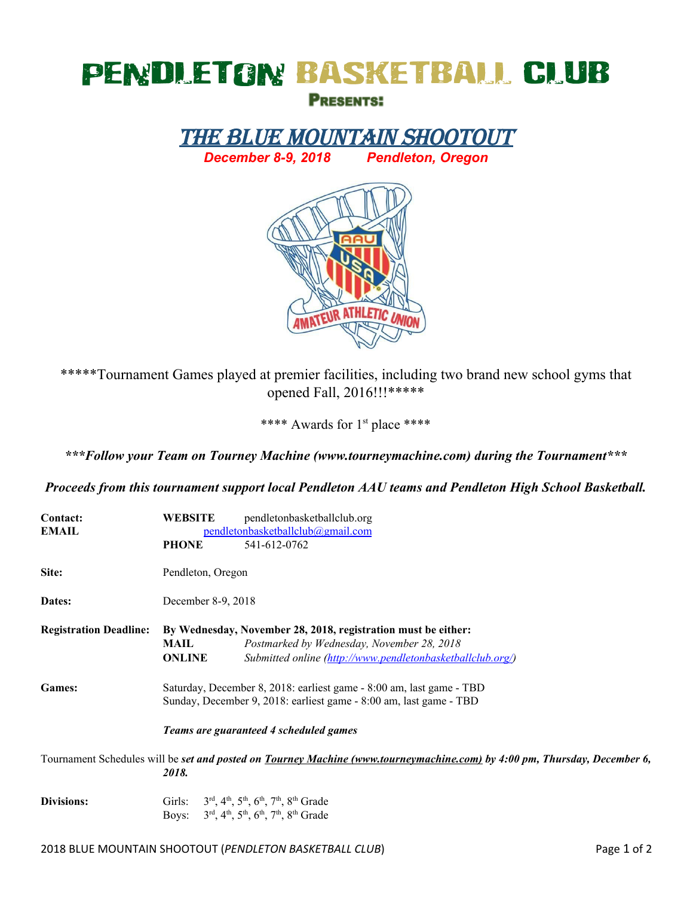## PENDLETON BASKETBALL CLUB

**PRESENTS:** 

THE BLUE MOUNTAIN SHOOTOUT *December 8-9, 2018 Pendleton, Oregon*



\*\*\*\*\*Tournament Games played at premier facilities, including two brand new school gyms that opened Fall, 2016!!!\*\*\*\*\*

\*\*\*\* Awards for 1<sup>st</sup> place \*\*\*\*

*\*\*\*Follow your Team on Tourney Machine (www.tourneymachine.com) during the Tournament\*\*\**

*Proceeds from this tournament support local Pendleton AAU teams and Pendleton High School Basketball.*

| Contact:                                                                                                                         | <b>WEBSITE</b>                                                       | pendletonbasketballclub.org                                                                            |  |  |  |  |  |
|----------------------------------------------------------------------------------------------------------------------------------|----------------------------------------------------------------------|--------------------------------------------------------------------------------------------------------|--|--|--|--|--|
| <b>EMAIL</b>                                                                                                                     | pendletonbasketballclub@gmail.com                                    |                                                                                                        |  |  |  |  |  |
|                                                                                                                                  | <b>PHONE</b>                                                         | 541-612-0762                                                                                           |  |  |  |  |  |
| Site:                                                                                                                            | Pendleton, Oregon                                                    |                                                                                                        |  |  |  |  |  |
| Dates:                                                                                                                           | December 8-9, 2018                                                   |                                                                                                        |  |  |  |  |  |
| <b>Registration Deadline:</b>                                                                                                    | By Wednesday, November 28, 2018, registration must be either:        |                                                                                                        |  |  |  |  |  |
|                                                                                                                                  | MAIL                                                                 | Postmarked by Wednesday, November 28, 2018                                                             |  |  |  |  |  |
|                                                                                                                                  | <b>ONLINE</b>                                                        | Submitted online (http://www.pendletonbasketballclub.org/)                                             |  |  |  |  |  |
| <b>Games:</b>                                                                                                                    | Saturday, December 8, 2018: earliest game - 8:00 am, last game - TBD |                                                                                                        |  |  |  |  |  |
|                                                                                                                                  | Sunday, December 9, 2018: earliest game - 8:00 am, last game - TBD   |                                                                                                        |  |  |  |  |  |
|                                                                                                                                  | Teams are guaranteed 4 scheduled games                               |                                                                                                        |  |  |  |  |  |
| Tournament Schedules will be set and posted on <b>Tourney Machine</b> (www.tourneymachine.com) by 4:00 pm, Thursday, December 6, |                                                                      |                                                                                                        |  |  |  |  |  |
|                                                                                                                                  | 2018.                                                                |                                                                                                        |  |  |  |  |  |
| Divisions:                                                                                                                       |                                                                      | Girls: $3^{rd}$ , $4^{th}$ , $5^{th}$ , $6^{th}$ , $7^{th}$ , $8^{th}$ Grade                           |  |  |  |  |  |
|                                                                                                                                  |                                                                      | Boys: $3^{\text{rd}}, 4^{\text{th}}, 5^{\text{th}}, 6^{\text{th}}, 7^{\text{th}}, 8^{\text{th}}$ Grade |  |  |  |  |  |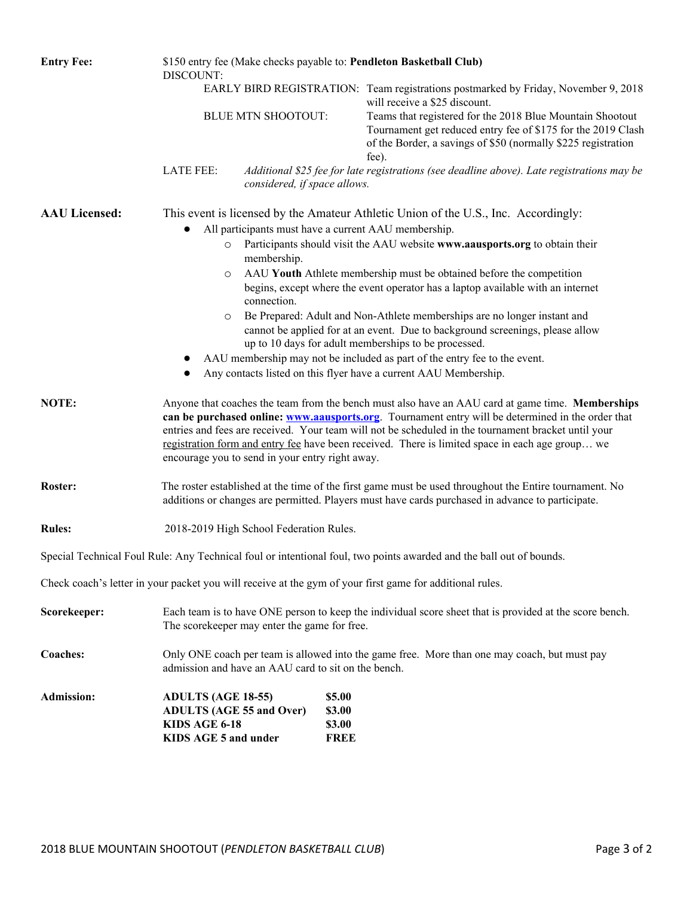| <b>Entry Fee:</b>    | \$150 entry fee (Make checks payable to: Pendleton Basketball Club)<br>DISCOUNT:                                                                                                                                                                                                                                                                                                                                                                                                                                                                                                                                                                                                                                                                                                                          |                              |                                           |                                                                                                                                                                                                                                                                                                                            |  |  |  |  |  |
|----------------------|-----------------------------------------------------------------------------------------------------------------------------------------------------------------------------------------------------------------------------------------------------------------------------------------------------------------------------------------------------------------------------------------------------------------------------------------------------------------------------------------------------------------------------------------------------------------------------------------------------------------------------------------------------------------------------------------------------------------------------------------------------------------------------------------------------------|------------------------------|-------------------------------------------|----------------------------------------------------------------------------------------------------------------------------------------------------------------------------------------------------------------------------------------------------------------------------------------------------------------------------|--|--|--|--|--|
|                      |                                                                                                                                                                                                                                                                                                                                                                                                                                                                                                                                                                                                                                                                                                                                                                                                           |                              |                                           | EARLY BIRD REGISTRATION: Team registrations postmarked by Friday, November 9, 2018<br>will receive a \$25 discount.<br>Teams that registered for the 2018 Blue Mountain Shootout<br>Tournament get reduced entry fee of \$175 for the 2019 Clash<br>of the Border, a savings of \$50 (normally \$225 registration<br>fee). |  |  |  |  |  |
|                      |                                                                                                                                                                                                                                                                                                                                                                                                                                                                                                                                                                                                                                                                                                                                                                                                           | <b>BLUE MTN SHOOTOUT:</b>    |                                           |                                                                                                                                                                                                                                                                                                                            |  |  |  |  |  |
|                      | <b>LATE FEE:</b>                                                                                                                                                                                                                                                                                                                                                                                                                                                                                                                                                                                                                                                                                                                                                                                          | considered, if space allows. |                                           | Additional \$25 fee for late registrations (see deadline above). Late registrations may be                                                                                                                                                                                                                                 |  |  |  |  |  |
| <b>AAU Licensed:</b> | This event is licensed by the Amateur Athletic Union of the U.S., Inc. Accordingly:<br>All participants must have a current AAU membership.<br>Participants should visit the AAU website www.aausports.org to obtain their<br>$\circ$<br>membership.<br>AAU Youth Athlete membership must be obtained before the competition<br>O<br>begins, except where the event operator has a laptop available with an internet<br>connection.<br>Be Prepared: Adult and Non-Athlete memberships are no longer instant and<br>cannot be applied for at an event. Due to background screenings, please allow<br>up to 10 days for adult memberships to be processed.<br>AAU membership may not be included as part of the entry fee to the event.<br>Any contacts listed on this flyer have a current AAU Membership. |                              |                                           |                                                                                                                                                                                                                                                                                                                            |  |  |  |  |  |
| NOTE:                | Anyone that coaches the team from the bench must also have an AAU card at game time. Memberships<br>can be purchased online: www.aausports.org. Tournament entry will be determined in the order that<br>entries and fees are received. Your team will not be scheduled in the tournament bracket until your<br>registration form and entry fee have been received. There is limited space in each age group we<br>encourage you to send in your entry right away.                                                                                                                                                                                                                                                                                                                                        |                              |                                           |                                                                                                                                                                                                                                                                                                                            |  |  |  |  |  |
| Roster:              | The roster established at the time of the first game must be used throughout the Entire tournament. No<br>additions or changes are permitted. Players must have cards purchased in advance to participate.                                                                                                                                                                                                                                                                                                                                                                                                                                                                                                                                                                                                |                              |                                           |                                                                                                                                                                                                                                                                                                                            |  |  |  |  |  |
| <b>Rules:</b>        | 2018-2019 High School Federation Rules.                                                                                                                                                                                                                                                                                                                                                                                                                                                                                                                                                                                                                                                                                                                                                                   |                              |                                           |                                                                                                                                                                                                                                                                                                                            |  |  |  |  |  |
|                      |                                                                                                                                                                                                                                                                                                                                                                                                                                                                                                                                                                                                                                                                                                                                                                                                           |                              |                                           | Special Technical Foul Rule: Any Technical foul or intentional foul, two points awarded and the ball out of bounds.                                                                                                                                                                                                        |  |  |  |  |  |
|                      |                                                                                                                                                                                                                                                                                                                                                                                                                                                                                                                                                                                                                                                                                                                                                                                                           |                              |                                           | Check coach's letter in your packet you will receive at the gym of your first game for additional rules.                                                                                                                                                                                                                   |  |  |  |  |  |
| Scorekeeper:         | Each team is to have ONE person to keep the individual score sheet that is provided at the score bench.<br>The scorekeeper may enter the game for free.                                                                                                                                                                                                                                                                                                                                                                                                                                                                                                                                                                                                                                                   |                              |                                           |                                                                                                                                                                                                                                                                                                                            |  |  |  |  |  |
| <b>Coaches:</b>      | Only ONE coach per team is allowed into the game free. More than one may coach, but must pay<br>admission and have an AAU card to sit on the bench.                                                                                                                                                                                                                                                                                                                                                                                                                                                                                                                                                                                                                                                       |                              |                                           |                                                                                                                                                                                                                                                                                                                            |  |  |  |  |  |
| <b>Admission:</b>    | <b>ADULTS (AGE 18-55)</b><br><b>ADULTS (AGE 55 and Over)</b><br>KIDS AGE 6-18<br>KIDS AGE 5 and under                                                                                                                                                                                                                                                                                                                                                                                                                                                                                                                                                                                                                                                                                                     |                              | \$5.00<br>\$3.00<br>\$3.00<br><b>FREE</b> |                                                                                                                                                                                                                                                                                                                            |  |  |  |  |  |